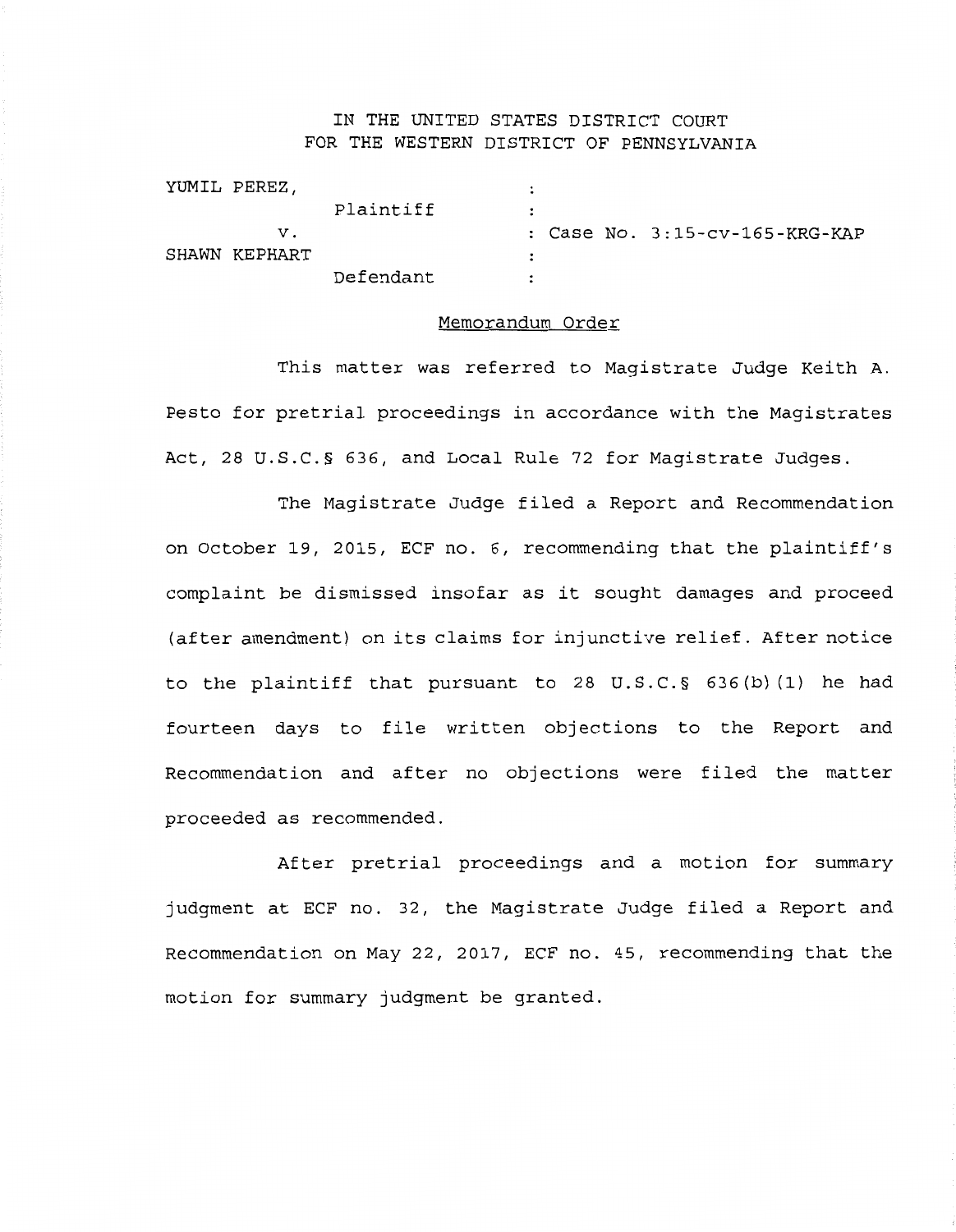## IN THE UNITED STATES DISTRICT COURT FOR THE WESTERN DISTRICT OF PENNSYLVANIA

| YUMIL PEREZ,  |           |           |  |                                |
|---------------|-----------|-----------|--|--------------------------------|
|               | Plaintiff | $\bullet$ |  |                                |
| v.            |           |           |  | : Case No. 3:15-cv-165-KRG-KAP |
| SHAWN KEPHART |           |           |  |                                |
|               | Defendant |           |  |                                |

## Memorandum Order

This matter was referred to Magistrate Judge Keith A. Pesto for pretrial proceedings in accordance with the Magistrates Act, 28 U.S.C.§ 636, and Local Rule 72 for Magistrate Judges.

The Magistrate Judge filed a Report and Recommendation on October 19, 2015, ECF no. 6, recommending that the plaintiff's complaint be dismissed insofar as it sought damages and proceed (after amendment) on its claims for injunctive relief. After notice to the plaintiff that pursuant to 28 U.S.C.§ 636(b) (1) he had fourteen days to file written objections to the Report and Recommendation and after no objections were filed the matter proceeded as recommended.

After pretrial proceedings and a motion for summary judgment at ECF no. 32, the Magistrate Judge filed a Report and Recommendation on May 22, 2017, ECF no. 45, recommending that the motion for summary judgment be granted.